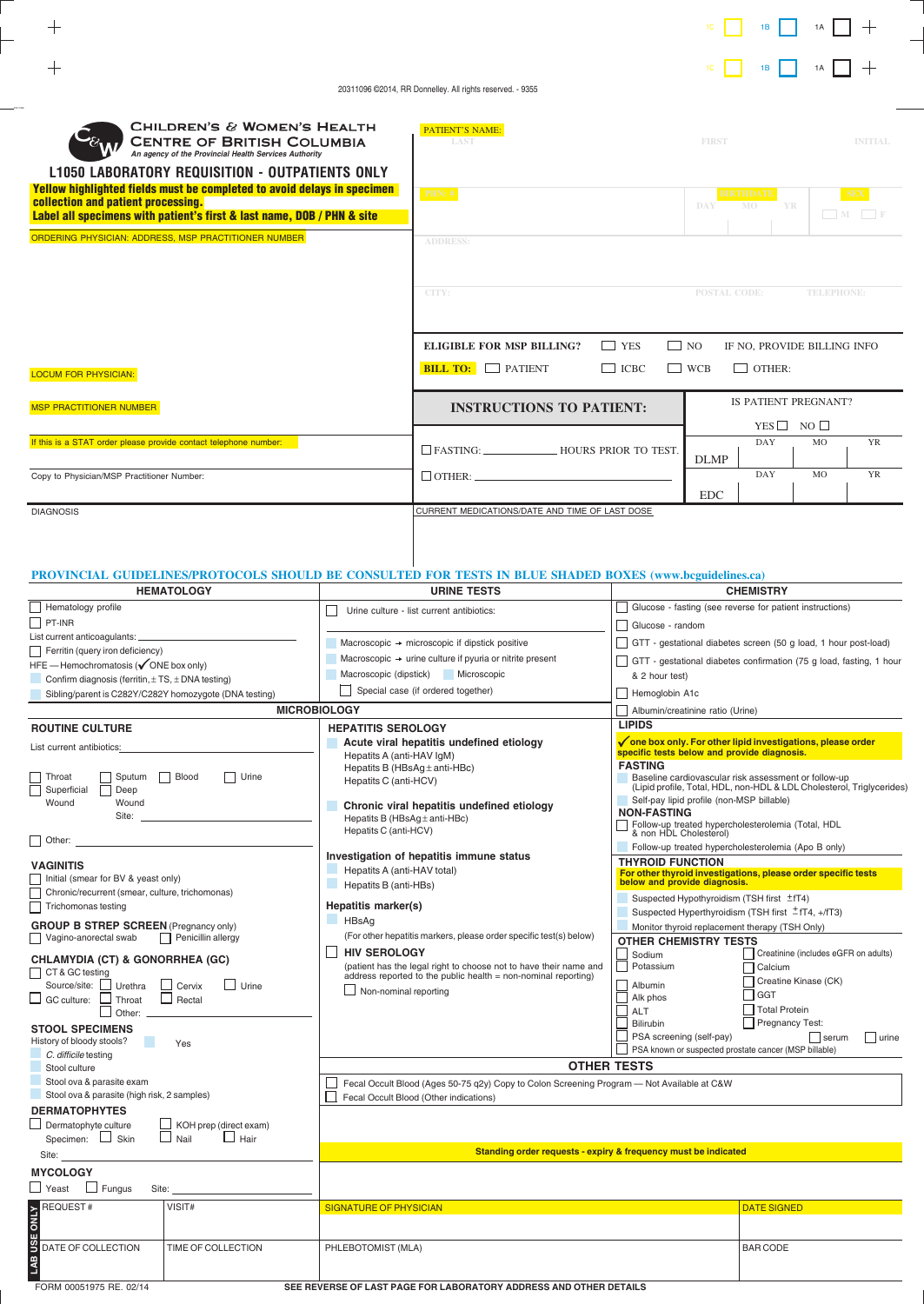| CHILDREN'S & WOMEN'S HEALTH<br><b>CENTRE OF BRITISH COLUMBIA</b><br>An agency of the Provincial Health Services Authority<br><b>L1050 LABORATORY REQUISITION - OUTPATIENTS ONLY</b><br>Yellow highlighted fields must be completed to avoid delays in specimen<br>collection and patient processing.<br>Label all specimens with patient's first & last name, DOB / PHN & site | <b>PATIENT'S NAME:</b><br><b>LAST</b><br><b>PHN: #</b>                                                                                                                                                                                          |                                                                                                                                                                                                                                                                                                                                                                                                                                 | <b>FIRST</b><br><b>DAY</b>                                                                                                                                                                                                                                                             | <b>BIRTHDATE</b><br>MO.                               | YR                                                   | <b>INITIAL</b><br><b>SEX</b>                                            |               |  |  |
|--------------------------------------------------------------------------------------------------------------------------------------------------------------------------------------------------------------------------------------------------------------------------------------------------------------------------------------------------------------------------------|-------------------------------------------------------------------------------------------------------------------------------------------------------------------------------------------------------------------------------------------------|---------------------------------------------------------------------------------------------------------------------------------------------------------------------------------------------------------------------------------------------------------------------------------------------------------------------------------------------------------------------------------------------------------------------------------|----------------------------------------------------------------------------------------------------------------------------------------------------------------------------------------------------------------------------------------------------------------------------------------|-------------------------------------------------------|------------------------------------------------------|-------------------------------------------------------------------------|---------------|--|--|
| ORDERING PHYSICIAN: ADDRESS, MSP PRACTITIONER NUMBER                                                                                                                                                                                                                                                                                                                           |                                                                                                                                                                                                                                                 | <b>ADDRESS:</b>                                                                                                                                                                                                                                                                                                                                                                                                                 |                                                                                                                                                                                                                                                                                        |                                                       |                                                      |                                                                         |               |  |  |
|                                                                                                                                                                                                                                                                                                                                                                                |                                                                                                                                                                                                                                                 |                                                                                                                                                                                                                                                                                                                                                                                                                                 |                                                                                                                                                                                                                                                                                        |                                                       |                                                      |                                                                         |               |  |  |
|                                                                                                                                                                                                                                                                                                                                                                                |                                                                                                                                                                                                                                                 | CITY:                                                                                                                                                                                                                                                                                                                                                                                                                           |                                                                                                                                                                                                                                                                                        | <b>POSTAL CODE:</b>                                   |                                                      | <b>TELEPHONE:</b>                                                       |               |  |  |
|                                                                                                                                                                                                                                                                                                                                                                                |                                                                                                                                                                                                                                                 | <b>ELIGIBLE FOR MSP BILLING?</b>                                                                                                                                                                                                                                                                                                                                                                                                | $\Box$ YES                                                                                                                                                                                                                                                                             | $\Box$ NO                                             |                                                      | IF NO, PROVIDE BILLING INFO                                             |               |  |  |
| <b>LOCUM FOR PHYSICIAN:</b>                                                                                                                                                                                                                                                                                                                                                    |                                                                                                                                                                                                                                                 | <b>BILL TO: PATIENT</b>                                                                                                                                                                                                                                                                                                                                                                                                         | $\Box$ ICBC                                                                                                                                                                                                                                                                            | $\Box$ WCB                                            | $\Box$ OTHER:                                        |                                                                         |               |  |  |
| <b>MSP PRACTITIONER NUMBER</b>                                                                                                                                                                                                                                                                                                                                                 |                                                                                                                                                                                                                                                 | <b>INSTRUCTIONS TO PATIENT:</b>                                                                                                                                                                                                                                                                                                                                                                                                 |                                                                                                                                                                                                                                                                                        | IS PATIENT PREGNANT?<br>YES $\Box$ NO $\Box$          |                                                      |                                                                         |               |  |  |
| If this is a STAT order please provide contact telephone number:                                                                                                                                                                                                                                                                                                               |                                                                                                                                                                                                                                                 |                                                                                                                                                                                                                                                                                                                                                                                                                                 |                                                                                                                                                                                                                                                                                        | <b>DLMP</b>                                           | <b>DAY</b>                                           | <b>MO</b>                                                               | <b>YR</b>     |  |  |
| Copy to Physician/MSP Practitioner Number:                                                                                                                                                                                                                                                                                                                                     |                                                                                                                                                                                                                                                 | $\Box$ OTHER: $\Box$                                                                                                                                                                                                                                                                                                                                                                                                            |                                                                                                                                                                                                                                                                                        | <b>EDC</b>                                            | <b>DAY</b>                                           | <b>MO</b>                                                               | <b>YR</b>     |  |  |
| <b>DIAGNOSIS</b>                                                                                                                                                                                                                                                                                                                                                               |                                                                                                                                                                                                                                                 | CURRENT MEDICATIONS/DATE AND TIME OF LAST DOSE                                                                                                                                                                                                                                                                                                                                                                                  |                                                                                                                                                                                                                                                                                        |                                                       |                                                      |                                                                         |               |  |  |
| PROVINCIAL GUIDELINES/PROTOCOLS SHOULD BE CONSULTED FOR TESTS IN BLUE SHADED BOXES (www.bcguidelines.ca)<br><b>HEMATOLOGY</b>                                                                                                                                                                                                                                                  |                                                                                                                                                                                                                                                 | <b>URINE TESTS</b>                                                                                                                                                                                                                                                                                                                                                                                                              |                                                                                                                                                                                                                                                                                        |                                                       | <b>CHEMISTRY</b>                                     |                                                                         |               |  |  |
| Hematology profile<br>$P$ T-INR                                                                                                                                                                                                                                                                                                                                                | Urine culture - list current antibiotics:                                                                                                                                                                                                       | Glucose - fasting (see reverse for patient instructions)                                                                                                                                                                                                                                                                                                                                                                        |                                                                                                                                                                                                                                                                                        |                                                       |                                                      |                                                                         |               |  |  |
| List current anticoagulants: _                                                                                                                                                                                                                                                                                                                                                 |                                                                                                                                                                                                                                                 |                                                                                                                                                                                                                                                                                                                                                                                                                                 | Glucose - random<br>GTT - gestational diabetes screen (50 g load, 1 hour post-load)                                                                                                                                                                                                    |                                                       |                                                      |                                                                         |               |  |  |
| $\Box$ Ferritin (query iron deficiency)                                                                                                                                                                                                                                                                                                                                        | Macroscopic $\rightarrow$ microscopic if dipstick positive<br>Macroscopic $\rightarrow$ urine culture if pyuria or nitrite present                                                                                                              |                                                                                                                                                                                                                                                                                                                                                                                                                                 | GTT - gestational diabetes confirmation (75 g load, fasting, 1 hour                                                                                                                                                                                                                    |                                                       |                                                      |                                                                         |               |  |  |
| $HFE$ – Hemochromatosis ( $\checkmark$ ONE box only)<br>Confirm diagnosis (ferritin, $\pm$ TS, $\pm$ DNA testing)                                                                                                                                                                                                                                                              |                                                                                                                                                                                                                                                 | Macroscopic (dipstick) Microscopic                                                                                                                                                                                                                                                                                                                                                                                              | & 2 hour test)                                                                                                                                                                                                                                                                         |                                                       |                                                      |                                                                         |               |  |  |
| Sibling/parent is C282Y/C282Y homozygote (DNA testing)                                                                                                                                                                                                                                                                                                                         | Special case (if ordered together)<br>Hemoglobin A1c                                                                                                                                                                                            |                                                                                                                                                                                                                                                                                                                                                                                                                                 |                                                                                                                                                                                                                                                                                        |                                                       |                                                      |                                                                         |               |  |  |
| <b>MICROBIOLOGY</b>                                                                                                                                                                                                                                                                                                                                                            | Albumin/creatinine ratio (Urine)                                                                                                                                                                                                                |                                                                                                                                                                                                                                                                                                                                                                                                                                 |                                                                                                                                                                                                                                                                                        |                                                       |                                                      |                                                                         |               |  |  |
| <b>ROUTINE CULTURE</b><br>List current antibiotics:<br>Throat Sputum Blood<br>$\Box$ Urine<br>П<br>Superficial<br>Deep<br>Wound<br>Wound<br>Site:                                                                                                                                                                                                                              | <b>HEPATITIS SEROLOGY</b><br>Acute viral hepatitis undefined etiology<br>Hepatits A (anti-HAV IgM)<br>Hepatits B (HBsAq ± anti-HBc)<br>Hepatits C (anti-HCV)<br>Chronic viral hepatitis undefined etiology<br>Hepatits B (HBsAg $\pm$ anti-HBc) | <b>LIPIDS</b><br>√ one box only. For other lipid investigations, please order<br>specific tests below and provide diagnosis.<br><b>FASTING</b><br>Baseline cardiovascular risk assessment or follow-up<br>(Lipid profile, Total, HDL, non-HDL & LDL Cholesterol, Triglycerides)<br>Self-pay lipid profile (non-MSP billable)<br><b>NON-FASTING</b><br>Follow-up treated hypercholesterolemia (Total, HDL & non HDL Cholesterol) |                                                                                                                                                                                                                                                                                        |                                                       |                                                      |                                                                         |               |  |  |
| Other:                                                                                                                                                                                                                                                                                                                                                                         | Hepatits C (anti-HCV)                                                                                                                                                                                                                           |                                                                                                                                                                                                                                                                                                                                                                                                                                 |                                                                                                                                                                                                                                                                                        |                                                       |                                                      |                                                                         |               |  |  |
| <b>VAGINITIS</b><br>Initial (smear for BV & yeast only)<br>Chronic/recurrent (smear, culture, trichomonas)<br>П<br>Trichomonas testing<br>ΙI                                                                                                                                                                                                                                   | Investigation of hepatitis immune status<br>Hepatits A (anti-HAV total)<br>Hepatits B (anti-HBs)<br>Hepatitis marker(s)                                                                                                                         |                                                                                                                                                                                                                                                                                                                                                                                                                                 | Follow-up treated hypercholesterolemia (Apo B only)<br><b>THYROID FUNCTION</b><br>For other thyroid investigations, please order specific tests<br>below and provide diagnosis.<br>Suspected Hypothyroidism (TSH first ±fT4)<br>Suspected Hyperthyroidism (TSH first $\pm$ fT4, +/fT3) |                                                       |                                                      |                                                                         |               |  |  |
| <b>GROUP B STREP SCREEN</b> (Pregnancy only)                                                                                                                                                                                                                                                                                                                                   | HBsAa                                                                                                                                                                                                                                           |                                                                                                                                                                                                                                                                                                                                                                                                                                 |                                                                                                                                                                                                                                                                                        | Monitor thyroid replacement therapy (TSH Only)        |                                                      |                                                                         |               |  |  |
| $\Box$ Penicillin allergy<br>Vagino-anorectal swab<br><b>CHLAMYDIA (CT) &amp; GONORRHEA (GC)</b><br>$\Box$ CT & GC testing<br>Source/site: Urethra<br>$\Box$ Urine<br>Cervix<br>$\Box$ GC culture:<br>Throat<br>Rectal<br>Other:<br><b>STOOL SPECIMENS</b><br>History of bloody stools?<br>Yes                                                                                 | <b>HIV SEROLOGY</b><br>$\Box$ Non-nominal reporting                                                                                                                                                                                             | (For other hepatitis markers, please order specific test(s) below)<br>(patient has the legal right to choose not to have their name and<br>address reported to the public health = non-nominal reporting)                                                                                                                                                                                                                       | <b>OTHER CHEMISTRY TESTS</b><br>$\Box$<br>Sodium<br>Potassium<br>Albumin<br>Alk phos<br>ALT<br>Bilirubin<br>PSA screening (self-pay)                                                                                                                                                   | PSA known or suspected prostate cancer (MSP billable) | Calcium<br>  GGT<br>Total Protein<br>Pregnancy Test: | Creatinine (includes eGFR on adults)<br>Creatine Kinase (CK)<br>  serum | $\vert$ urine |  |  |
| C. difficile testing<br><b>OTHER TESTS</b><br>Stool culture                                                                                                                                                                                                                                                                                                                    |                                                                                                                                                                                                                                                 |                                                                                                                                                                                                                                                                                                                                                                                                                                 |                                                                                                                                                                                                                                                                                        |                                                       |                                                      |                                                                         |               |  |  |
| Stool ova & parasite exam<br>Stool ova & parasite (high risk, 2 samples)                                                                                                                                                                                                                                                                                                       | Fecal Occult Blood (Ages 50-75 q2y) Copy to Colon Screening Program - Not Available at C&W<br>Fecal Occult Blood (Other indications)                                                                                                            |                                                                                                                                                                                                                                                                                                                                                                                                                                 |                                                                                                                                                                                                                                                                                        |                                                       |                                                      |                                                                         |               |  |  |

**DERMATOPHYTES**

Dermatophyte culture Specimen: L Skin KOH prep (direct exam) Nail ⊔Hair

Site:

 $+$ 

|  |  | Standing order requests - expiry & frequency must be indicated |
|--|--|----------------------------------------------------------------|
|  |  |                                                                |

| <b>MYCOLOGY</b><br>$\Box$ Yeast<br>Fungus<br>Site: |                           |                                                                   |                    |
|----------------------------------------------------|---------------------------|-------------------------------------------------------------------|--------------------|
| $\blacktriangleright$ REQUEST#                     | VISIT#                    | SIGNATURE OF PHYSICIAN                                            | <b>DATE SIGNED</b> |
|                                                    |                           |                                                                   |                    |
| <b>B</b> DATE OF COLLECTION                        | <b>TIME OF COLLECTION</b> | PHLEBOTOMIST (MLA)                                                | <b>BAR CODE</b>    |
|                                                    |                           |                                                                   |                    |
| FORM 00051975 RE, 02/14                            |                           | SEE REVERSE OF LAST PAGE FOR LABORATORY ADDRESS AND OTHER DETAILS |                    |